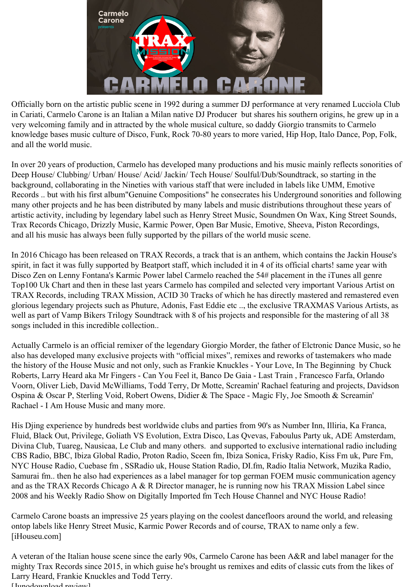

Officially born on the artistic public scene in 1992 during a summer DJ performance at very renamed Lucciola Club in Cariati, Carmelo Carone is an Italian a Milan native DJ Producer but shares his southern origins, he grew up in a very welcoming family and in attracted by the whole musical culture, so daddy Giorgio transmits to Carmelo knowledge bases music culture of Disco, Funk, Rock 70-80 years to more varied, Hip Hop, Italo Dance, Pop, Folk, and all the world music.

In over 20 years of production, Carmelo has developed many productions and his music mainly reflects sonorities of Deep House/ Clubbing/ Urban/ House/ Acid/ Jackin/ Tech House/ Soulful/Dub/Soundtrack, so starting in the background, collaborating in the Nineties with various staff that were included in labels like UMM, Emotive Records .. but with his first album"Genuine Compositions" he consecrates his Underground sonorities and following many other projects and he has been distributed by many labels and music distributions throughout these years of artistic activity, including by legendary label such as Henry Street Music, Soundmen On Wax, King Street Sounds, Trax Records Chicago, Drizzly Music, Karmic Power, Open Bar Music, Emotive, Sheeva, Piston Recordings, and all his music has always been fully supported by the pillars of the world music scene.

In 2016 Chicago has been released on TRAX Records, a track that is an anthem, which contains the Jackin House's spirit, in fact it was fully supported by Beatport staff, which included it in 4 of its official charts! same year with Disco Zen on Lenny Fontana's Karmic Power label Carmelo reached the 54# placement in the iTunes all genre Top100 Uk Chart and then in these last years Carmelo has compiled and selected very important Various Artist on TRAX Records, including TRAX Mission, ACID 30 Tracks of which he has directly mastered and remastered even glorious legendary projects such as Phuture, Adonis, Fast Eddie etc .., the exclusive TRAXMAS Various Artists, as well as part of Vamp Bikers Trilogy Soundtrack with 8 of his projects and responsible for the mastering of all 38 songs included in this incredible collection..

Actually Carmelo is an official remixer of the legendary Giorgio Morder, the father of Elctronic Dance Music, so he also has developed many exclusive projects with "official mixes", remixes and reworks of tastemakers who made the history of the House Music and not only, such as Frankie Knuckles - Your Love, In The Beginning by Chuck Roberts, Larry Heard aka Mr Fingers - Can You Feel it, Banco De Gaia - Last Train , Francesco Farfa, Orlando Voorn, Oliver Lieb, David McWilliams, Todd Terry, Dr Motte, Screamin' Rachael featuring and projects, Davidson Ospina & Oscar P, Sterling Void, Robert Owens, Didier & The Space - Magic Fly, Joe Smooth & Screamin' Rachael - I Am House Music and many more.

His Djing experience by hundreds best worldwide clubs and parties from 90's as Number Inn, Illiria, Ka Franca, Fluid, Black Out, Privilege, Goliath VS Evolution, Extra Disco, Las Qvevas, Faboulus Party uk, ADE Amsterdam, Divina Club, Tuareg, Nausicaa, Le Club and many others. and supported to exclusive international radio including CBS Radio, BBC, Ibiza Global Radio, Proton Radio, Sceen fm, Ibiza Sonica, Frisky Radio, Kiss Fm uk, Pure Fm, NYC House Radio, Cuebase fm , SSRadio uk, House Station Radio, DI.fm, Radio Italia Network, Muzika Radio, Samurai fm.. then he also had experiences as a label manager for top german FOEM music communication agency and as the TRAX Records Chicago A & R Director manager, he is running now his TRAX Mission Label since 2008 and his Weekly Radio Show on Digitally Imported fm Tech House Channel and NYC House Radio!

Carmelo Carone boasts an impressive 25 years playing on the coolest dancefloors around the world, and releasing ontop labels like Henry Street Music, Karmic Power Records and of course, TRAX to name only a few. [iHouseu.com]

A veteran of the Italian house scene since the early 90s, Carmelo Carone has been A&R and label manager for the mighty Trax Records since 2015, in which guise he's brought us remixes and edits of classic cuts from the likes of Larry Heard, Frankie Knuckles and Todd Terry.  $[I<sub>unod</sub><sub>ou</sub>l<sub>ood</sub><sub>nonion</sub>]$